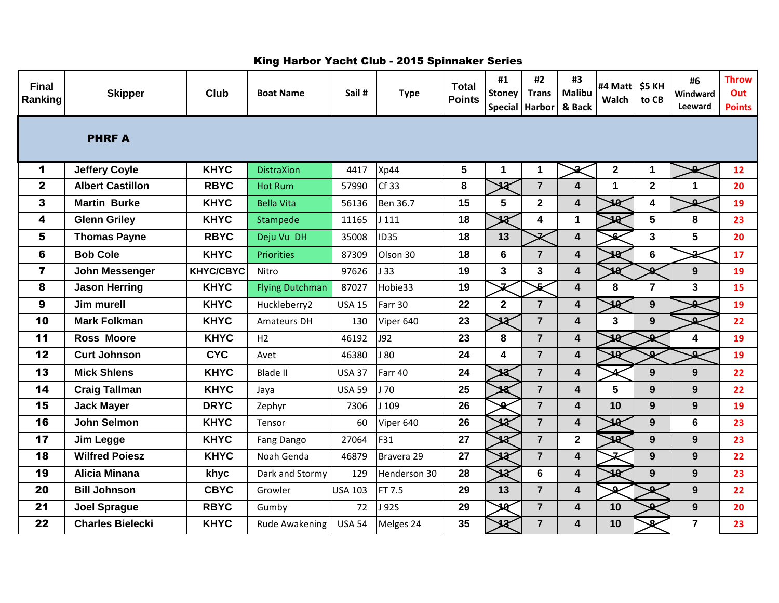| <b>Final</b><br>Ranking | <b>Skipper</b>          | <b>Club</b>      | <b>Boat Name</b>       | Sail#          | <b>Type</b>      | <b>Total</b><br><b>Points</b> | #1<br><b>Stoney</b>     | #2<br><b>Trans</b><br>Special Harbor | #3<br>Malibu<br>& Back  | #4 Matt<br>Walch         | <b>\$5 KH</b><br>to CB  | #6<br>Windward<br><b>Leeward</b> | <b>Throw</b><br>Out<br><b>Points</b> |
|-------------------------|-------------------------|------------------|------------------------|----------------|------------------|-------------------------------|-------------------------|--------------------------------------|-------------------------|--------------------------|-------------------------|----------------------------------|--------------------------------------|
| <b>PHRFA</b>            |                         |                  |                        |                |                  |                               |                         |                                      |                         |                          |                         |                                  |                                      |
| $\blacktriangleleft$    | <b>Jeffery Coyle</b>    | <b>KHYC</b>      | <b>DistraXion</b>      | 4417           | Xp44             | 5                             | 1                       | 1                                    |                         | $\mathbf{2}$             | 1                       |                                  | 12                                   |
| $\overline{\mathbf{2}}$ | <b>Albert Castillon</b> | <b>RBYC</b>      | <b>Hot Rum</b>         | 57990          | Cf 33            | 8                             | $\overline{\mathbf{z}}$ | $\overline{7}$                       | $\boldsymbol{4}$        | $\mathbf 1$              | $\overline{2}$          | 1                                | 20                                   |
| $\mathbf{3}$            | <b>Martin Burke</b>     | <b>KHYC</b>      | <b>Bella Vita</b>      | 56136          | Ben 36.7         | 15                            | 5                       | $\overline{2}$                       | $\overline{\mathbf{4}}$ | 18                       | 4                       | $\Omega$                         | 19                                   |
| 4                       | <b>Glenn Griley</b>     | <b>KHYC</b>      | Stampede               | 11165          | J111             | 18                            | $\overline{\mathbf{3}}$ | 4                                    | $\mathbf 1$             | 14                       | 5                       | 8                                | 23                                   |
| 5                       | <b>Thomas Payne</b>     | <b>RBYC</b>      | Deju Vu DH             | 35008          | <b>ID35</b>      | 18                            | 13                      | ュ                                    | $\overline{\mathbf{4}}$ | £                        | $\overline{\mathbf{3}}$ | 5                                | 20                                   |
| 6                       | <b>Bob Cole</b>         | <b>KHYC</b>      | <b>Priorities</b>      | 87309          | Olson 30         | 18                            | 6                       | $\overline{7}$                       | 4                       | 10                       | 6                       | $\Omega$                         | 17                                   |
| $\overline{\mathbf{z}}$ | John Messenger          | <b>KHYC/CBYC</b> | Nitro                  | 97626          | 133              | 19                            | 3                       | $\mathbf{3}$                         | $\overline{\mathbf{4}}$ |                          | $\mathbf{r}$            | 9                                | 19                                   |
| 8                       | <b>Jason Herring</b>    | <b>KHYC</b>      | <b>Flying Dutchman</b> | 87027          | Hobie33          | 19                            | z                       | ىق                                   | $\overline{\mathbf{4}}$ | 8                        | $\overline{7}$          | $\overline{\mathbf{3}}$          | 15                                   |
| 9                       | Jim murell              | <b>KHYC</b>      | Huckleberry2           | <b>USA 15</b>  | Farr 30          | 22                            | $\overline{2}$          | $\overline{7}$                       | $\overline{\mathbf{4}}$ | $\overline{\mathbf{18}}$ | 9                       | $\Omega$                         | 19                                   |
| 10                      | <b>Mark Folkman</b>     | <b>KHYC</b>      | Amateurs DH            | 130            | Viper 640        | 23                            | 18                      | $\overline{7}$                       | $\overline{\mathbf{4}}$ | 3                        | 9                       | $\Omega$                         | 22                                   |
| 11                      | <b>Ross Moore</b>       | <b>KHYC</b>      | H <sub>2</sub>         | 46192          | J92              | 23                            | 8                       | $\overline{7}$                       | 4                       | 10                       | ھ                       | 4                                | 19                                   |
| 12                      | <b>Curt Johnson</b>     | <b>CYC</b>       | Avet                   | 46380          | J80              | 24                            | 4                       | $\overline{7}$                       | $\overline{\mathbf{4}}$ | 40                       | $\mathbf{a}$            | ىم                               | 19                                   |
| 13                      | <b>Mick Shlens</b>      | <b>KHYC</b>      | <b>Blade II</b>        | <b>USA 37</b>  | Farr 40          | 24                            |                         | $\overline{7}$                       | $\overline{\mathbf{4}}$ |                          | 9                       | 9                                | 22                                   |
| 14                      | <b>Craig Tallman</b>    | <b>KHYC</b>      | Jaya                   | <b>USA 59</b>  | 170              | 25                            |                         | $\overline{7}$                       | $\overline{\mathbf{4}}$ | 5                        | 9                       | 9                                | 22                                   |
| 15                      | <b>Jack Mayer</b>       | <b>DRYC</b>      | Zephyr                 | 7306           | J <sub>109</sub> | 26                            | n.                      | $\overline{7}$                       | $\overline{\mathbf{4}}$ | 10                       | 9                       | 9                                | 19                                   |
| 16                      | <b>John Selmon</b>      | <b>KHYC</b>      | Tensor                 | 60             | Viper 640        | 26                            | 12                      | $\overline{7}$                       | $\overline{\mathbf{4}}$ | 18                       | 9                       | 6                                | 23                                   |
| 17                      | <b>Jim Legge</b>        | <b>KHYC</b>      | Fang Dango             | 27064          | F31              | 27                            | 12                      | $\overline{7}$                       | $\overline{\mathbf{2}}$ | 12                       | 9                       | 9                                | 23                                   |
| 18                      | <b>Wilfred Poiesz</b>   | <b>KHYC</b>      | Noah Genda             | 46879          | Bravera 29       | 27                            |                         | $\overline{7}$                       | 4                       |                          | 9                       | 9                                | 22                                   |
| 19                      | <b>Alicia Minana</b>    | khyc             | Dark and Stormy        | 129            | Henderson 30     | 28                            | ביו                     | $6\phantom{a}$                       | $\overline{\mathbf{4}}$ | 40                       | 9                       | $\mathbf{9}$                     | 23                                   |
| 20                      | <b>Bill Johnson</b>     | <b>CBYC</b>      | Growler                | <b>USA 103</b> | FT 7.5           | 29                            | 13                      | $\overline{7}$                       | $\overline{\mathbf{4}}$ | $\alpha$                 | ىم                      | 9                                | 22                                   |
| 21                      | <b>Joel Sprague</b>     | <b>RBYC</b>      | Gumby                  | 72             | J 92S            | 29                            | 14                      | $\overline{7}$                       | $\overline{\mathbf{4}}$ | 10                       | ىم                      | 9                                | 20                                   |
| 22                      | <b>Charles Bielecki</b> | <b>KHYC</b>      | <b>Rude Awakening</b>  | <b>USA 54</b>  | Melges 24        | 35                            |                         | $\overline{7}$                       | 4                       | 10                       | Ω                       | $\overline{7}$                   | 23                                   |

## King Harbor Yacht Club - 2015 Spinnaker Series